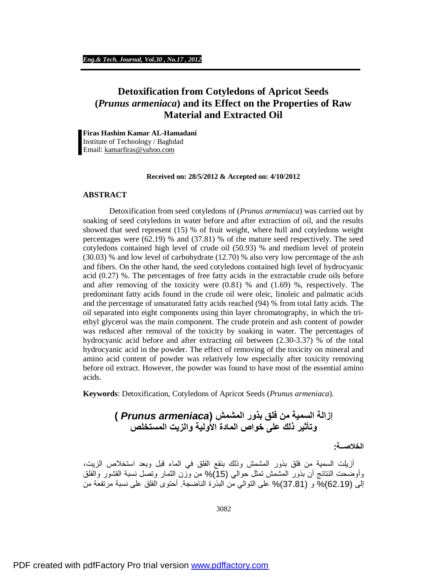# **Detoxification from Cotyledons of Apricot Seeds (***Prunus armeniaca***) and its Effect on the Properties of Raw Material and Extracted Oil**

L

**Firas Hashim Kamar AL-Hamadani**  Institute of Technology / Baghdad Email: [kamarfiras@yahoo.com](mailto:kamarfiras@yahoo.com)

#### **Received on: 28/5/2012 & Accepted on: 4/10/2012**

#### **ABSTRACT**

Detoxification from seed cotyledons of (*Prunus armeniaca*) was carried out by soaking of seed cotyledons in water before and after extraction of oil, and the results showed that seed represent (15) % of fruit weight, where hull and cotyledons weight percentages were (62.19) % and (37.81) % of the mature seed respectively. The seed cotyledons contained high level of crude oil (50.93) % and medium level of protein (30.03) % and low level of carbohydrate (12.70) % also very low percentage of the ash and fibers. On the other hand, the seed cotyledons contained high level of hydrocyanic acid (0.27) %. The percentages of free fatty acids in the extractable crude oils before and after removing of the toxicity were  $(0.81)$  % and  $(1.69)$  %, respectively. The predominant fatty acids found in the crude oil were oleic, linoleic and palmatic acids and the percentage of unsaturated fatty acids reached (94) % from total fatty acids. The oil separated into eight components using thin layer chromatography, in which the triethyl glycerol was the main component. The crude protein and ash content of powder was reduced after removal of the toxicity by soaking in water. The percentages of hydrocyanic acid before and after extracting oil between (2.30-3.37) % of the total hydrocyanic acid in the powder. The effect of removing of the toxicity on mineral and amino acid content of powder was relatively low especially after toxicity removing before oil extract. However, the powder was found to have most of the essential amino acids.

**Keywords**: Detoxification, Cotyledons of Apricot Seeds (*Prunus armeniaca*).

**إزالة السمیة من فلق بذور المشمش (***armeniaca Prunus* **( وتأثیر ذلك على خواص المادة الأولیة والزیت المستخلص** 

**الخلاصــة:**

 أزیلت السمیة من فلق بذور المشمش وذلك بنقع الفلق في الماء قبل وبعد استخلاص الزیت، وأوضحت النتائج أن بذور المشمش تمثل حوالي (15)% من وزن الثمار وتصل نسبة القشور والفلق إلى (62.19)% و (37.81)% على التوالي من البذرة الناضجة. أحتوى الفلق على نسبة مرتفعة من

3082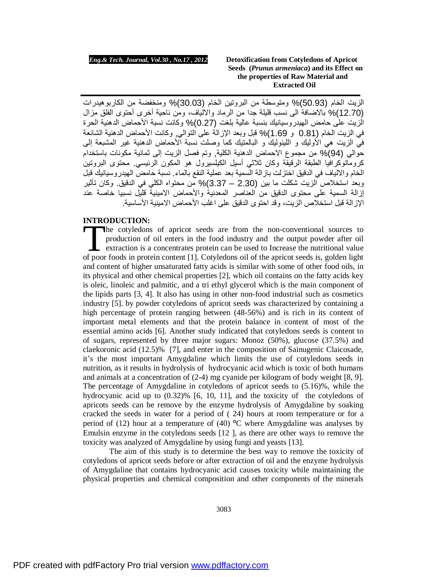الزیت الخام (50.93)% ومتوسطة من البروتین الخام (30.03)% ومنخفضة من الكاربوھیدرات (12.70)% بالاضافة الى نسب قلیلة جدا من الرماد والالیاف، ومن ناحیة أخرى أحتوى الفلق مزال الزیت على حامض الھیدروسیانیك بنسبة عالیة بلغت (0.27)% وكانت نسبة الأحماض الدھنیة الحرة في الزیت الخام (0.81 و 1.69)% قبل وبعد الإزالة على التوالي, وكانت الأحماض الدھنیة الشائعة في الزیت ھي الأولیك و اللینولیك و البالمتیك كما وصلت نسبة الأحماض الدھنیة غیر المشبعة إلى حوالي (94)% من مجموع الاحماض الدھنیة الكلیة, وتم فصل الزیت إلى ثمانیة مكونات باستخدام كروماتوكرافیا الطبقة الرقیقة وكان ثلاثي أسیل الكیلسیرول ھو المكون الرئیسي. محتوى البروتین الخام والالیاف في الدقیق اختزلت بازالة السمیة بعد عملیة النقع بالماء. نسبة حامض الھیدروسیانیك قبل وبعد استخلاص الزیت شكلت ما بین (2.30 – 3.37)% من محتواه الكلي في الدقیق. وكان تأثیر إزالة السمیة على محتوى الدقیق من العناصر المعدنیة والأحماض الامینیة قلیل نسبیا خاصة عند الإزالة قبل استخلاص الزیت، وقد احتوى الدقیق على اغلب الأحماض الامینیة الأساسیة.

### **INTRODUCTION:**

he cotyledons of apricot seeds are from the non-conventional sources to production of oil enters in the food industry and the output powder after oil extraction is a concentrates protein can be used to Increase the nutritional value The cotyledons of apricot seeds are from the non-conventional sources to production of oil enters in the food industry and the output powder after oil extraction is a concentrates protein can be used to Increase the nutrit and content of higher unsaturated fatty acids is similar with some of other food oils, in its physical and other chemical properties [2], which oil contains on the fatty acids key is oleic, linoleic and palmitic, and a tri ethyl glycerol which is the main component of the lipids parts [3, 4]. It also has using in other non-food industrial such as cosmetics industry [5]. by powder cotyledons of apricot seeds was characterized by containing a high percentage of protein ranging between (48-56%) and is rich in its content of important metal elements and that the protein balance in content of most of the essential amino acids [6]. Another study indicated that cotyledons seeds is content to of sugars, represented by three major sugars: Monoz (50%), glucose (37.5%) and claekoronic acid (12.5)% [7], and enter in the composition of Sainugenic Claicosade, it's the most important Amygdaline which limits the use of cotyledons seeds in nutrition, as it results in hydrolysis of hydrocyanic acid which is toxic of both humans and animals at a concentration of (2-4) mg cyanide per kilogram of body weight [8, 9]. The percentage of Amygdaline in cotyledons of apricot seeds to (5.16)%, while the hydrocyanic acid up to (0.32)% [6, 10, 11], and the toxicity of the cotyledons of apricots seeds can be remove by the enzyme hydrolysis of Amygdaline by soaking cracked the seeds in water for a period of ( 24) hours at room temperature or for a period of (12) hour at a temperature of (40)  $^{\circ}$ C where Amygdaline was analyses by Emulsin enzyme in the cotyledons seeds [12 ], as there are other ways to remove the toxicity was analyzed of Amygdaline by using fungi and yeasts [13].

The aim of this study is to determine the best way to remove the toxicity of cotyledons of apricot seeds before or after extraction of oil and the enzyme hydrolysis of Amygdaline that contains hydrocyanic acid causes toxicity while maintaining the physical properties and chemical composition and other components of the minerals

3083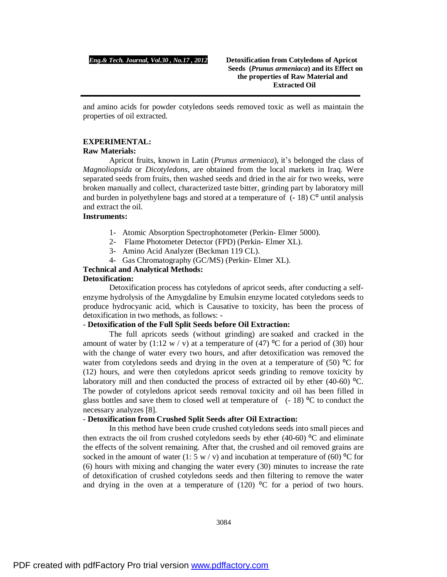and amino acids for powder cotyledons seeds removed toxic as well as maintain the properties of oil extracted.

### **EXPERIMENTAL:**

### **Raw Materials:**

Apricot fruits, known in Latin (*Prunus armeniaca*), it's belonged the class of *Magnoliopsida* or *Dicotyledons*, are obtained from the local markets in Iraq. Were separated seeds from fruits, then washed seeds and dried in the air for two weeks, were broken manually and collect, characterized taste bitter, grinding part by laboratory mill and burden in polyethylene bags and stored at a temperature of  $(-18)$  C<sup>o</sup> until analysis and extract the oil.

# **Instruments:**

- 1- Atomic Absorption Spectrophotometer (Perkin- Elmer 5000).
- 2- Flame Photometer Detector (FPD) (Perkin- Elmer XL).
- 3- Amino Acid Analyzer (Beckman 119 CL).
- 4- Gas Chromatography (GC/MS) (Perkin- Elmer XL).

# **Technical and Analytical Methods:**

# **Detoxification:**

Detoxification process has cotyledons of apricot seeds, after conducting a selfenzyme hydrolysis of the Amygdaline by Emulsin enzyme located cotyledons seeds to produce hydrocyanic acid, which is Causative to toxicity, has been the process of detoxification in two methods, as follows: -

# - **Detoxification of the Full Split Seeds before Oil Extraction:**

The full apricots seeds (without grinding) are soaked and cracked in the amount of water by (1:12 w / v) at a temperature of (47) <sup>o</sup>C for a period of (30) hour with the change of water every two hours, and after detoxification was removed the water from cotyledons seeds and drying in the oven at a temperature of  $(50)$  °C for (12) hours, and were then cotyledons apricot seeds grinding to remove toxicity by laboratory mill and then conducted the process of extracted oil by ether  $(40-60)$  °C. The powder of cotyledons apricot seeds removal toxicity and oil has been filled in glass bottles and save them to closed well at temperature of  $(-18)$  °C to conduct the necessary analyzes [8].

## - **Detoxification from Crushed Split Seeds after Oil Extraction:**

In this method have been crude crushed cotyledons seeds into small pieces and then extracts the oil from crushed cotyledons seeds by ether (40-60)  $\degree$ C and eliminate the effects of the solvent remaining. After that, the crushed and oil removed grains are socked in the amount of water (1: 5 w / v) and incubation at temperature of (60)  $\rm{^{\circ}C}$  for (6) hours with mixing and changing the water every (30) minutes to increase the rate of detoxification of crushed cotyledons seeds and then filtering to remove the water and drying in the oven at a temperature of  $(120)$  °C for a period of two hours.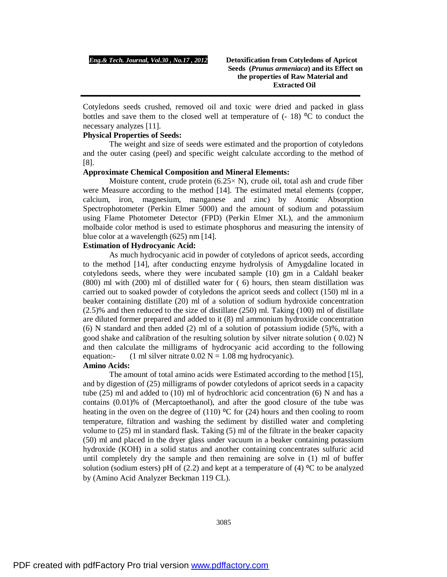Cotyledons seeds crushed, removed oil and toxic were dried and packed in glass bottles and save them to the closed well at temperature of  $(-18)$  °C to conduct the necessary analyzes [11].

# **Physical Properties of Seeds:**

The weight and size of seeds were estimated and the proportion of cotyledons and the outer casing (peel) and specific weight calculate according to the method of [8].

# **Approximate Chemical Composition and Mineral Elements:**

Moisture content, crude protein  $(6.25 \times N)$ , crude oil, total ash and crude fiber were Measure according to the method [14]. The estimated metal elements (copper, calcium, iron, magnesium, manganese and zinc) by Atomic Absorption Spectrophotometer (Perkin Elmer 5000) and the amount of sodium and potassium using Flame Photometer Detector (FPD) (Perkin Elmer XL), and the ammonium molbaide color method is used to estimate phosphorus and measuring the intensity of blue color at a wavelength (625) nm [14].

### **Estimation of Hydrocyanic Acid:**

As much hydrocyanic acid in powder of cotyledons of apricot seeds, according to the method [14], after conducting enzyme hydrolysis of Amygdaline located in cotyledons seeds, where they were incubated sample (10) gm in a Caldahl beaker (800) ml with (200) ml of distilled water for ( 6) hours, then steam distillation was carried out to soaked powder of cotyledons the apricot seeds and collect (150) ml in a beaker containing distillate (20) ml of a solution of sodium hydroxide concentration (2.5)% and then reduced to the size of distillate (250) ml. Taking (100) ml of distillate are diluted former prepared and added to it (8) ml ammonium hydroxide concentration (6) N standard and then added (2) ml of a solution of potassium iodide (5)%, with a good shake and calibration of the resulting solution by silver nitrate solution ( 0.02) N and then calculate the milligrams of hydrocyanic acid according to the following equation:- (1 ml silver nitrate  $0.02$  N = 1.08 mg hydrocyanic).

### **Amino Acids:**

The amount of total amino acids were Estimated according to the method [15], and by digestion of (25) milligrams of powder cotyledons of apricot seeds in a capacity tube (25) ml and added to (10) ml of hydrochloric acid concentration (6) N and has a contains (0.01)% of (Mercaptoethanol), and after the good closure of the tube was heating in the oven on the degree of (110)  $\rm{^{\circ}C}$  for (24) hours and then cooling to room temperature, filtration and washing the sediment by distilled water and completing volume to (25) ml in standard flask. Taking (5) ml of the filtrate in the beaker capacity (50) ml and placed in the dryer glass under vacuum in a beaker containing potassium hydroxide (KOH) in a solid status and another containing concentrates sulfuric acid until completely dry the sample and then remaining are solve in (1) ml of buffer solution (sodium esters) pH of (2.2) and kept at a temperature of (4)  $\degree$ C to be analyzed by (Amino Acid Analyzer Beckman 119 CL).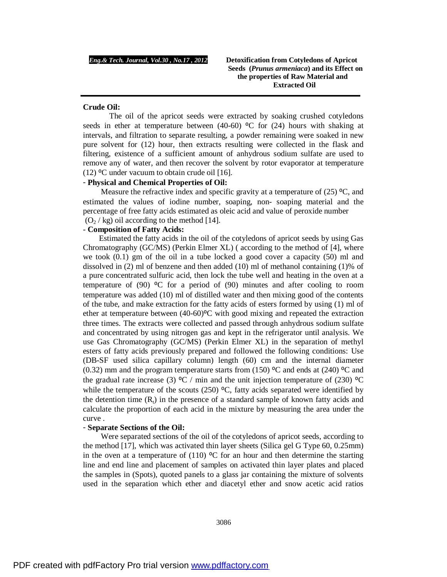### **Crude Oil:**

The oil of the apricot seeds were extracted by soaking crushed cotyledons seeds in ether at temperature between (40-60)  $\rm{^{\circ}C}$  for (24) hours with shaking at intervals, and filtration to separate resulting, a powder remaining were soaked in new pure solvent for (12) hour, then extracts resulting were collected in the flask and filtering, existence of a sufficient amount of anhydrous sodium sulfate are used to remove any of water, and then recover the solvent by rotor evaporator at temperature (12)  $\degree$ C under vacuum to obtain crude oil [16].

# - **Physical and Chemical Properties of Oil:**

Measure the refractive index and specific gravity at a temperature of  $(25)$  °C, and estimated the values of iodine number, soaping, non- soaping material and the percentage of free fatty acids estimated as oleic acid and value of peroxide number  $(O_2 / kg)$  oil according to the method [14].

#### - **Composition of Fatty Acids:**

 Estimated the fatty acids in the oil of the cotyledons of apricot seeds by using Gas Chromatography (GC/MS) (Perkin Elmer XL) ( according to the method of [4], where we took  $(0.1)$  gm of the oil in a tube locked a good cover a capacity  $(50)$  ml and dissolved in (2) ml of benzene and then added (10) ml of methanol containing (1)% of a pure concentrated sulfuric acid, then lock the tube well and heating in the oven at a temperature of (90)  $\textdegree$ C for a period of (90) minutes and after cooling to room temperature was added (10) ml of distilled water and then mixing good of the contents of the tube, and make extraction for the fatty acids of esters formed by using (1) ml of ether at temperature between  $(40-60)$ <sup>o</sup>C with good mixing and repeated the extraction three times. The extracts were collected and passed through anhydrous sodium sulfate and concentrated by using nitrogen gas and kept in the refrigerator until analysis. We use Gas Chromatography (GC/MS) (Perkin Elmer XL) in the separation of methyl esters of fatty acids previously prepared and followed the following conditions: Use (DB-SF used silica capillary column) length (60) cm and the internal diameter (0.32) mm and the program temperature starts from (150)  $\rm{^{\circ}C}$  and ends at (240)  $\rm{^{\circ}C}$  and the gradual rate increase (3)  $\rm{^{\circ}C}$  / min and the unit injection temperature of (230)  $\rm{^{\circ}C}$ while the temperature of the scouts (250)  $\degree$ C, fatty acids separated were identified by the detention time  $(R<sub>t</sub>)$  in the presence of a standard sample of known fatty acids and calculate the proportion of each acid in the mixture by measuring the area under the curve .

#### - **Separate Sections of the Oil:**

 Were separated sections of the oil of the cotyledons of apricot seeds, according to the method [17], which was activated thin layer sheets (Silica gel G Type 60, 0.25mm) in the oven at a temperature of (110)  $\degree$ C for an hour and then determine the starting line and end line and placement of samples on activated thin layer plates and placed the samples in (Spots), quoted panels to a glass jar containing the mixture of solvents used in the separation which ether and diacetyl ether and snow acetic acid ratios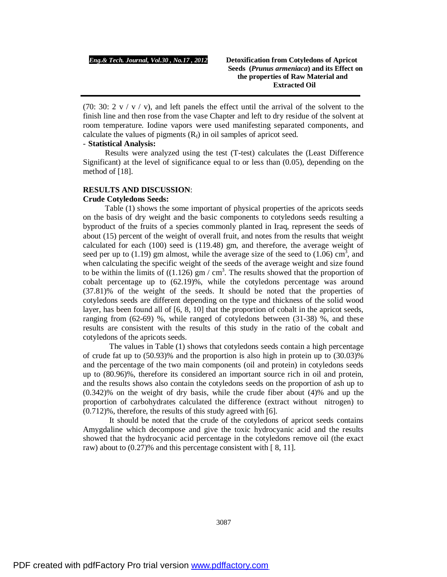(70: 30:  $2 \text{ v} / \text{ v} / \text{ v}$ ), and left panels the effect until the arrival of the solvent to the finish line and then rose from the vase Chapter and left to dry residue of the solvent at room temperature. Iodine vapors were used manifesting separated components, and calculate the values of pigments  $(R_f)$  in oil samples of apricot seed.

# - **Statistical Analysis:**

 Results were analyzed using the test (T-test) calculates the (Least Difference Significant) at the level of significance equal to or less than (0.05), depending on the method of [18].

# **RESULTS AND DISCUSSION**: **Crude Cotyledons Seeds:**

 Table (1) shows the some important of physical properties of the apricots seeds on the basis of dry weight and the basic components to cotyledons seeds resulting a byproduct of the fruits of a species commonly planted in Iraq, represent the seeds of about (15) percent of the weight of overall fruit, and notes from the results that weight calculated for each (100) seed is (119.48) gm, and therefore, the average weight of seed per up to (1.19) gm almost, while the average size of the seed to (1.06)  $\text{cm}^3$ , and when calculating the specific weight of the seeds of the average weight and size found to be within the limits of  $((1.126)$  gm / cm<sup>3</sup>. The results showed that the proportion of cobalt percentage up to (62.19)%, while the cotyledons percentage was around (37.81)% of the weight of the seeds. It should be noted that the properties of cotyledons seeds are different depending on the type and thickness of the solid wood layer, has been found all of  $[6, 8, 10]$  that the proportion of cobalt in the apricot seeds, ranging from (62-69) %, while ranged of cotyledons between (31-38) %, and these results are consistent with the results of this study in the ratio of the cobalt and cotyledons of the apricots seeds.

The values in Table (1) shows that cotyledons seeds contain a high percentage of crude fat up to (50.93)% and the proportion is also high in protein up to (30.03)% and the percentage of the two main components (oil and protein) in cotyledons seeds up to (80.96)%, therefore its considered an important source rich in oil and protein, and the results shows also contain the cotyledons seeds on the proportion of ash up to (0.342)% on the weight of dry basis, while the crude fiber about (4)% and up the proportion of carbohydrates calculated the difference (extract without nitrogen) to (0.712)%, therefore, the results of this study agreed with [6].

It should be noted that the crude of the cotyledons of apricot seeds contains Amygdaline which decompose and give the toxic hydrocyanic acid and the results showed that the hydrocyanic acid percentage in the cotyledons remove oil (the exact raw) about to  $(0.27)$ % and this percentage consistent with [8, 11].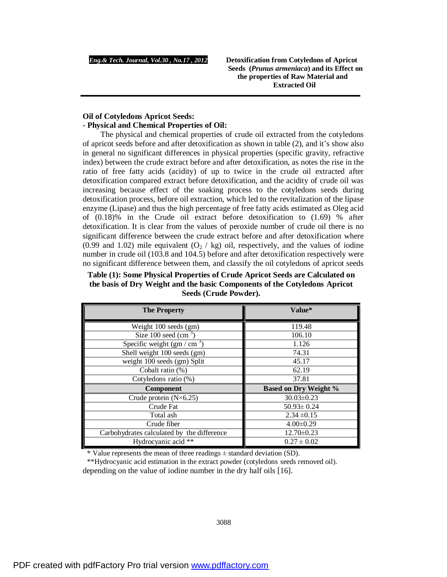# **Oil of Cotyledons Apricot Seeds:**  - **Physical and Chemical Properties of Oil:**

 The physical and chemical properties of crude oil extracted from the cotyledons of apricot seeds before and after detoxification as shown in table (2), and it's show also in general no significant differences in physical properties (specific gravity, refractive index) between the crude extract before and after detoxification, as notes the rise in the ratio of free fatty acids (acidity) of up to twice in the crude oil extracted after detoxification compared extract before detoxification, and the acidity of crude oil was increasing because effect of the soaking process to the cotyledons seeds during detoxification process, before oil extraction, which led to the revitalization of the lipase enzyme (Lipase) and thus the high percentage of free fatty acids estimated as Oleg acid of (0.18)% in the Crude oil extract before detoxification to (1.69) % after detoxification. It is clear from the values of peroxide number of crude oil there is no significant difference between the crude extract before and after detoxification where (0.99 and 1.02) mile equivalent  $(O_2 / kg)$  oil, respectively, and the values of iodine number in crude oil (103.8 and 104.5) before and after detoxification respectively were no significant difference between them, and classify the oil cotyledons of apricot seeds

**Table (1): Some Physical Properties of Crude Apricot Seeds are Calculated on the basis of Dry Weight and the basic Components of the Cotyledons Apricot Seeds (Crude Powder).**

| <b>The Property</b>                        | Value*                       |  |
|--------------------------------------------|------------------------------|--|
| Weight 100 seeds (gm)                      | 119.48                       |  |
| Size 100 seed $\rm (cm^{-3})$              | 106.10                       |  |
| Specific weight $(gm / cm3)$               | 1.126                        |  |
| Shell weight 100 seeds (gm)                | 74.31                        |  |
| weight 100 seeds (gm) Split                | 45.17                        |  |
| Cobalt ratio (%)                           | 62.19                        |  |
| Cotyledons ratio (%)                       | 37.81                        |  |
| Component                                  | <b>Based on Dry Weight %</b> |  |
| Crude protein $(N\times 6.25)$             | $30.03 \pm 0.23$             |  |
| Crude Fat                                  | $50.93 \pm 0.24$             |  |
| Total ash                                  | $2.34 \pm 0.15$              |  |
| Crude fiber                                | $4.00 \pm 0.29$              |  |
| Carbohydrates calculated by the difference | $12.70 \pm 0.23$             |  |
| Hydrocyanic acid **                        | $0.27 \pm 0.02$              |  |

\* Value represents the mean of three readings  $\pm$  standard deviation (SD).

depending on the value of iodine number in the dry half oils [16]. \*\*Hydrocyanic acid estimation in the extract powder (cotyledons seeds removed oil).

3088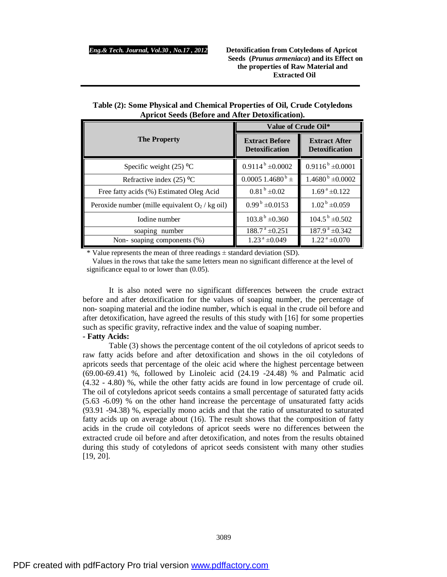|                                                   | Value of Crude Oil*                            |                                               |  |
|---------------------------------------------------|------------------------------------------------|-----------------------------------------------|--|
| <b>The Property</b>                               | <b>Extract Before</b><br><b>Detoxification</b> | <b>Extract After</b><br><b>Detoxification</b> |  |
| Specific weight $(25)$ °C                         | $0.9114^{b} \pm 0.0002$                        | $0.9116^b \pm 0.0001$                         |  |
| Refractive index $(25)$ °C                        | $0.00051.4680^{\mathrm{b}}$ ±                  | $1.4680^{b} \pm 0.0002$                       |  |
| Free fatty acids (%) Estimated Oleg Acid          | $0.81^{b} \pm 0.02$                            | $1.69^{\text{ a}}\pm 0.122$                   |  |
| Peroxide number (mille equivalent $O_2$ / kg oil) | $0.99^{\mathrm{b}}$ ±0.0153                    | $1.02^{\mathrm{b}}$ ±0.059                    |  |
| Iodine number                                     | $103.8^{\mathrm{b}}$ ±0.360                    | $104.5^{\mathrm{b}}$ ±0.502                   |  |
| soaping number                                    | $188.7^{\text{ a}}\pm 0.251$                   | $187.9^{\text{a}} \pm 0.342$                  |  |
| Non-soaping components (%)                        | $1.23^{\text{a}}\pm0.049$                      | $1.22^{\text{a}}\pm0.070$                     |  |

| Table (2): Some Physical and Chemical Properties of Oil, Crude Cotyledons |
|---------------------------------------------------------------------------|
| <b>Apricot Seeds (Before and After Detoxification).</b>                   |

\* Value represents the mean of three readings  $\pm$  standard deviation (SD).

Values in the rows that take the same letters mean no significant difference at the level of significance equal to or lower than (0.05).

It is also noted were no significant differences between the crude extract before and after detoxification for the values of soaping number, the percentage of non- soaping material and the iodine number, which is equal in the crude oil before and after detoxification, have agreed the results of this study with [16] for some properties such as specific gravity, refractive index and the value of soaping number.

#### **- Fatty Acids:**

Table (3) shows the percentage content of the oil cotyledons of apricot seeds to raw fatty acids before and after detoxification and shows in the oil cotyledons of apricots seeds that percentage of the oleic acid where the highest percentage between (69.00-69.41) %, followed by Linoleic acid (24.19 -24.48) % and Palmatic acid (4.32 - 4.80) %, while the other fatty acids are found in low percentage of crude oil. The oil of cotyledons apricot seeds contains a small percentage of saturated fatty acids (5.63 -6.09) % on the other hand increase the percentage of unsaturated fatty acids (93.91 -94.38) %, especially mono acids and that the ratio of unsaturated to saturated fatty acids up on average about (16). The result shows that the composition of fatty acids in the crude oil cotyledons of apricot seeds were no differences between the extracted crude oil before and after detoxification, and notes from the results obtained during this study of cotyledons of apricot seeds consistent with many other studies [19, 20].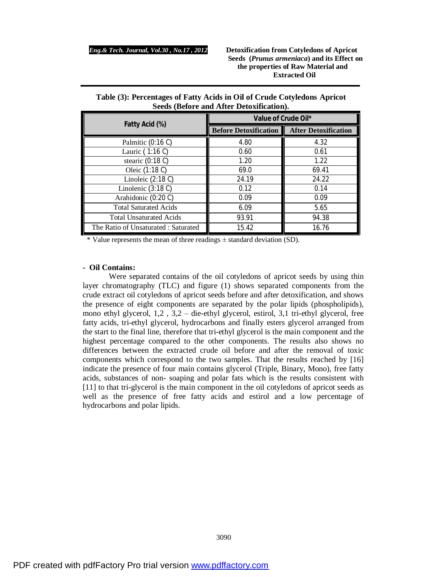| Table (3): Percentages of Fatty Acids in Oil of Crude Cotyledons Apricot |  |
|--------------------------------------------------------------------------|--|
| Seeds (Before and After Detoxification).                                 |  |

|                                     | Value of Crude Oil*          |                             |  |
|-------------------------------------|------------------------------|-----------------------------|--|
| Fatty Acid (%)                      | <b>Before Detoxification</b> | <b>After Detoxification</b> |  |
| Palmitic (0:16 C)                   | 4.80                         | 4.32                        |  |
| Lauric (1:16 C)                     | 0.60                         | 0.61                        |  |
| stearic $(0.18 C)$                  | 1.20                         | 1.22                        |  |
| Oleic (1:18 C)                      | 69.0                         | 69.41                       |  |
| Linoleic $(2:18)$                   | 24.19                        | 24.22                       |  |
| Linolenic $(3:18C)$                 | 0.12                         | 0.14                        |  |
| Arahidonic (0:20 C)                 | 0.09                         | 0.09                        |  |
| <b>Total Saturated Acids</b>        | 6.09                         | 5.65                        |  |
| <b>Total Unsaturated Acids</b>      | 93.91                        | 94.38                       |  |
| The Ratio of Unsaturated: Saturated | 15.42                        | 16.76                       |  |

\* Value represents the mean of three readings  $\pm$  standard deviation (SD).

#### **- Oil Contains:**

Were separated contains of the oil cotyledons of apricot seeds by using thin layer chromatography (TLC) and figure (1) shows separated components from the crude extract oil cotyledons of apricot seeds before and after detoxification, and shows the presence of eight components are separated by the polar lipids (phospholipids), mono ethyl glycerol, 1,2 , 3,2 – die-ethyl glycerol, estirol, 3,1 tri-ethyl glycerol, free fatty acids, tri-ethyl glycerol, hydrocarbons and finally esters glycerol arranged from the start to the final line, therefore that tri-ethyl glycerol is the main component and the highest percentage compared to the other components. The results also shows no differences between the extracted crude oil before and after the removal of toxic components which correspond to the two samples. That the results reached by [16] indicate the presence of four main contains glycerol (Triple, Binary, Mono), free fatty acids, substances of non- soaping and polar fats which is the results consistent with [11] to that tri-glycerol is the main component in the oil cotyledons of apricot seeds as well as the presence of free fatty acids and estirol and a low percentage of hydrocarbons and polar lipids.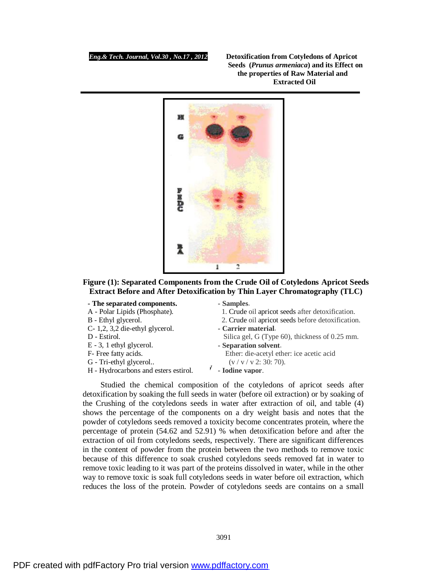

# **Figure (1): Separated Components from the Crude Oil of Cotyledons Apricot Seeds Extract Before and After Detoxification by Thin Layer Chromatography (TLC)**

# **- The separated components.**

A - Polar Lipids (Phosphate).

#### B - Ethyl glycerol.

- C- 1,2, 3,2 die-ethyl glycerol.
- D Estirol.
- $E 3$ , 1 ethyl glycerol.
- F- Free fatty acids.
- G Tri-ethyl glycerol..
- $\mathbf{C}$  **Composition Composition Composition Act Composition Act Composition Composition Composition Act Composition Composition Composition Composition Composition Composition Composition Com**

# **- Samples**.

1. Crude oil apricot seeds after detoxification.

- 2. Crude oil apricot seeds before detoxification.
- **- Carrier material**.

Silica gel, G (Type 60), thickness of 0.25 mm. **- Separation solvent**.

- Ether: die-acetyl ether: ice acetic acid  $(v / v / v 2: 30: 70)$ .
- **- Iodine vapor**.

 Studied the chemical composition of the cotyledons of apricot seeds after detoxification by soaking the full seeds in water (before oil extraction) or by soaking of the Crushing of the cotyledons seeds in water after extraction of oil, and table (4) shows the percentage of the components on a dry weight basis and notes that the powder of cotyledons seeds removed a toxicity become concentrates protein, where the percentage of protein (54.62 and 52.91) % when detoxification before and after the extraction of oil from cotyledons seeds, respectively. There are significant differences in the content of powder from the protein between the two methods to remove toxic because of this difference to soak crushed cotyledons seeds removed fat in water to remove toxic leading to it was part of the proteins dissolved in water, while in the other way to remove toxic is soak full cotyledons seeds in water before oil extraction, which reduces the loss of the protein. Powder of cotyledons seeds are contains on a small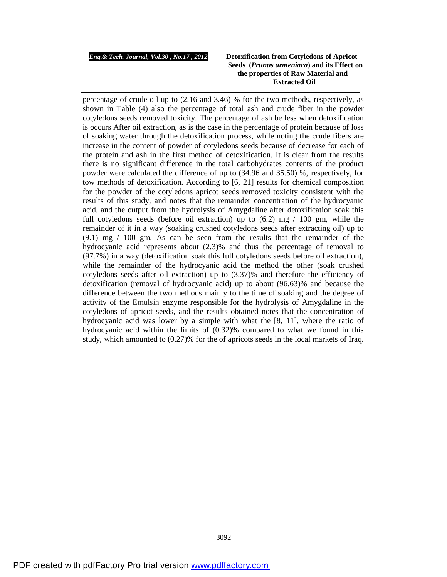#### *Eng.& Tech. Journal, Vol.30 , No.17 , 2012* **Detoxification from Cotyledons of Apricot**

# **Seeds (***Prunus armeniaca***) and its Effect on the properties of Raw Material and Extracted Oil**

percentage of crude oil up to (2.16 and 3.46) % for the two methods, respectively, as shown in Table (4) also the percentage of total ash and crude fiber in the powder cotyledons seeds removed toxicity. The percentage of ash be less when detoxification is occurs After oil extraction, as is the case in the percentage of protein because of loss of soaking water through the detoxification process, while noting the crude fibers are increase in the content of powder of cotyledons seeds because of decrease for each of the protein and ash in the first method of detoxification. It is clear from the results there is no significant difference in the total carbohydrates contents of the product powder were calculated the difference of up to (34.96 and 35.50) %, respectively, for tow methods of detoxification. According to [6, 21] results for chemical composition for the powder of the cotyledons apricot seeds removed toxicity consistent with the results of this study, and notes that the remainder concentration of the hydrocyanic acid, and the output from the hydrolysis of Amygdaline after detoxification soak this full cotyledons seeds (before oil extraction) up to (6.2) mg / 100 gm, while the remainder of it in a way (soaking crushed cotyledons seeds after extracting oil) up to (9.1) mg / 100 gm. As can be seen from the results that the remainder of the hydrocyanic acid represents about (2.3)% and thus the percentage of removal to (97.7%) in a way (detoxification soak this full cotyledons seeds before oil extraction), while the remainder of the hydrocyanic acid the method the other (soak crushed cotyledons seeds after oil extraction) up to (3.37)% and therefore the efficiency of detoxification (removal of hydrocyanic acid) up to about (96.63)% and because the difference between the two methods mainly to the time of soaking and the degree of activity of the Emulsin enzyme responsible for the hydrolysis of Amygdaline in the cotyledons of apricot seeds, and the results obtained notes that the concentration of hydrocyanic acid was lower by a simple with what the [8, 11], where the ratio of hydrocyanic acid within the limits of (0.32)% compared to what we found in this study, which amounted to (0.27)% for the of apricots seeds in the local markets of Iraq.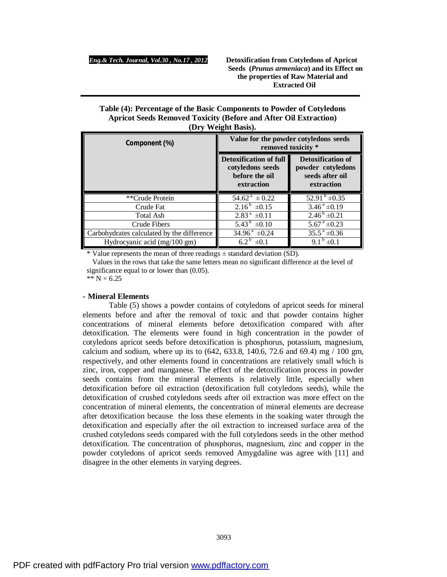# **Table (4): Percentage of the Basic Components to Powder of Cotyledons Apricot Seeds Removed Toxicity (Before and After Oil Extraction) (Dry Weight Basis).**

| Component (%)                              | Value for the powder cotyledons seeds<br>removed toxicity *                       |                                                                         |  |
|--------------------------------------------|-----------------------------------------------------------------------------------|-------------------------------------------------------------------------|--|
|                                            | <b>Detoxification of full</b><br>cotyledons seeds<br>before the oil<br>extraction | Detoxification of<br>powder cotyledons<br>seeds after oil<br>extraction |  |
| **Crude Protein                            | $54.62^{\text{a}} \pm 0.22$                                                       | $52.91^{b} \pm 0.35$                                                    |  |
| Crude Fat                                  | $2.16^{\mathrm{b}} \pm 0.15$                                                      | $3.46^{\text{a}} \pm 0.19$                                              |  |
| Total Ash                                  | $2.83^{\text{a}} \pm 0.11$                                                        | $2.46^{\mathrm{b}} \pm 0.21$                                            |  |
| Crude Fibers                               | $5.43^{b} \pm 0.10$                                                               | $5.67^{\text{ a}}\pm0.23$                                               |  |
| Carbohydrates calculated by the difference | $34.96^{\text{a}} \pm 0.24$                                                       | $35.5^{\text{a}} \pm 0.36$                                              |  |
| Hydrocyanic acid (mg/100 gm)               | $6.2^{\mathrm{b}} \pm 0.1$                                                        | 9.1 $^{\rm b}$ ±0.1                                                     |  |

\* Value represents the mean of three readings  $\pm$  standard deviation (SD).

Values in the rows that take the same letters mean no significant difference at the level of significance equal to or lower than (0.05).

\*\*  $N \times 6.25$ 

# **- Mineral Elements**

Table (5) shows a powder contains of cotyledons of apricot seeds for mineral elements before and after the removal of toxic and that powder contains higher concentrations of mineral elements before detoxification compared with after detoxification. The elements were found in high concentration in the powder of cotyledons apricot seeds before detoxification is phosphorus, potassium, magnesium, calcium and sodium, where up its to  $(642, 633.8, 140.6, 72.6, 60.4)$  mg  $/ 100$  gm, respectively, and other elements found in concentrations are relatively small which is zinc, iron, copper and manganese. The effect of the detoxification process in powder seeds contains from the mineral elements is relatively little, especially when detoxification before oil extraction (detoxification full cotyledons seeds), while the detoxification of crushed cotyledons seeds after oil extraction was more effect on the concentration of mineral elements, the concentration of mineral elements are decrease after detoxification because the loss these elements in the soaking water through the detoxification and especially after the oil extraction to increased surface area of the crushed cotyledons seeds compared with the full cotyledons seeds in the other method detoxification. The concentration of phosphorus, magnesium, zinc and copper in the powder cotyledons of apricot seeds removed Amygdaline was agree with [11] and disagree in the other elements in varying degrees.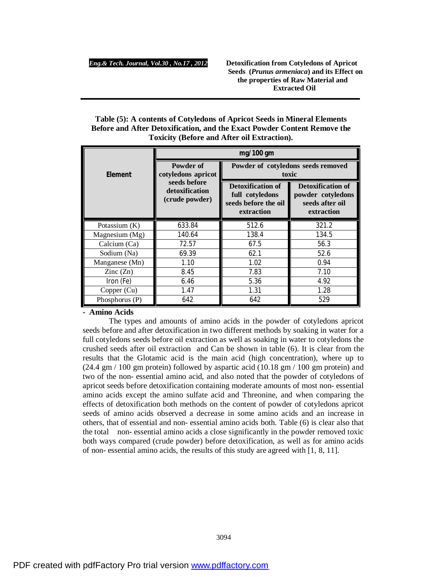| Table (5): A contents of Cotyledons of Apricot Seeds in Mineral Elements |
|--------------------------------------------------------------------------|
| Before and After Detoxification, and the Exact Powder Content Remove the |
| <b>Toxicity (Before and After oil Extraction).</b>                       |

|                          | mg/100 gm                                        |                                                                                   |                                                                                |  |
|--------------------------|--------------------------------------------------|-----------------------------------------------------------------------------------|--------------------------------------------------------------------------------|--|
| Element                  | Powder of<br>cotyledons apricot                  | Powder of cotyledons seeds removed<br>toxic                                       |                                                                                |  |
|                          | seeds before<br>detoxification<br>(crude powder) | <b>Detoxification of</b><br>full cotyledons<br>seeds before the oil<br>extraction | <b>Detoxification of</b><br>powder cotyledons<br>seeds after oil<br>extraction |  |
| Potassium $(K)$          | 633.84                                           | 512.6                                                                             | 321.2                                                                          |  |
| Magnesium $(Mg)$         | 140.64                                           | 138.4                                                                             | 134.5                                                                          |  |
| Calcium (Ca)             | 72.57                                            | 67.5                                                                              | 56.3                                                                           |  |
| Sodium (Na)              | 69.39                                            | 62.1                                                                              | 52.6                                                                           |  |
| Manganese (Mn)           | 1.10                                             | 1.02                                                                              | 0.94                                                                           |  |
| $\text{Zinc}(\text{Zn})$ | 8.45                                             | 7.83                                                                              | 7.10                                                                           |  |
| Iron (Fe)                | 6.46                                             | 5.36                                                                              | 4.92                                                                           |  |
| Copper (Cu)              | 1.47                                             | 1.31                                                                              | 1.28                                                                           |  |
| Phosphorus (P)           | 642                                              | 642                                                                               | 529                                                                            |  |

**- Amino Acids** 

The types and amounts of amino acids in the powder of cotyledons apricot seeds before and after detoxification in two different methods by soaking in water for a full cotyledons seeds before oil extraction as well as soaking in water to cotyledons the crushed seeds after oil extraction and Can be shown in table (6). It is clear from the results that the Glotamic acid is the main acid (high concentration), where up to (24.4 gm / 100 gm protein) followed by aspartic acid (10.18 gm / 100 gm protein) and two of the non- essential amino acid, and also noted that the powder of cotyledons of apricot seeds before detoxification containing moderate amounts of most non- essential amino acids except the amino sulfate acid and Threonine, and when comparing the effects of detoxification both methods on the content of powder of cotyledons apricot seeds of amino acids observed a decrease in some amino acids and an increase in others, that of essential and non- essential amino acids both. Table (6) is clear also that the total non- essential amino acids a close significantly in the powder removed toxic both ways compared (crude powder) before detoxification, as well as for amino acids of non- essential amino acids, the results of this study are agreed with [1, 8, 11].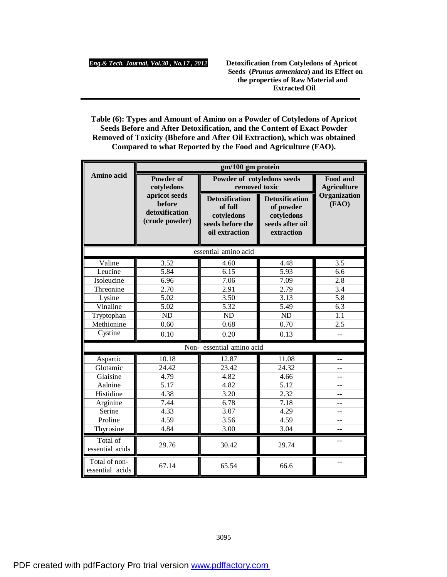**Table (6): Types and Amount of Amino on a Powder of Cotyledons of Apricot Seeds Before and After Detoxification, and the Content of Exact Powder Removed of Toxicity (Bbefore and After Oil Extraction), which was obtained Compared to what Reported by the Food and Agriculture (FAO).**

|                                  | gm/100 gm protein                                           |                                                                                      |                                                                                   |                       |
|----------------------------------|-------------------------------------------------------------|--------------------------------------------------------------------------------------|-----------------------------------------------------------------------------------|-----------------------|
| Amino acid                       | Powder of<br>cotyledons                                     | Powder of cotyledons seeds<br>removed toxic                                          | Food and<br><b>Agriculture</b>                                                    |                       |
|                                  | apricot seeds<br>before<br>detoxification<br>(crude powder) | <b>Detoxification</b><br>of full<br>cotyledons<br>seeds before the<br>oil extraction | <b>Detoxification</b><br>of powder<br>cotyledons<br>seeds after oil<br>extraction | Organization<br>(FAO) |
|                                  |                                                             | essential amino acid                                                                 |                                                                                   |                       |
| Valine                           | 3.52                                                        | 4.60                                                                                 | 4.48                                                                              | 3.5                   |
| Leucine                          | 5.84                                                        | 6.15                                                                                 | 5.93                                                                              | 6.6                   |
| Isoleucine                       | 6.96                                                        | 7.06                                                                                 | 7.09                                                                              | 2.8                   |
| Threonine                        | 2.70                                                        | 2.91                                                                                 | 2.79                                                                              | $\overline{3.4}$      |
| Lysine                           | 5.02                                                        | 3.50                                                                                 | 3.13                                                                              | $\overline{5.8}$      |
| Vinaline                         | 5.02                                                        | 5.32                                                                                 | 5.49                                                                              | 6.3                   |
| Tryptophan                       | ND                                                          | ND                                                                                   | <b>ND</b>                                                                         | 1.1                   |
| Methionine                       | 0.60                                                        | 0.68                                                                                 | 0.70                                                                              | $\overline{2.5}$      |
| Cystine                          | 0.10                                                        | 0.20                                                                                 | 0.13                                                                              |                       |
|                                  |                                                             | Non- essential amino acid                                                            |                                                                                   |                       |
| Aspartic                         | 10.18                                                       | 12.87                                                                                | 11.08                                                                             | $-$                   |
| Glotamic                         | 24.42                                                       | 23.42                                                                                | 24.32                                                                             | $-$                   |
| Glaisine                         | 4.79                                                        | 4.82                                                                                 | 4.66                                                                              |                       |
| Aalnine                          | 5.17                                                        | 4.82                                                                                 | $\overline{5.12}$                                                                 | $-$                   |
| Histidine                        | 4.38                                                        | 3.20                                                                                 | $\overline{2.32}$                                                                 | $-$                   |
| Arginine                         | 7.44                                                        | 6.78                                                                                 | 7.18                                                                              | $=$                   |
| Serine                           | 4.33                                                        | 3.07                                                                                 | 4.29                                                                              |                       |
| Proline                          | 4.59                                                        | 3.56                                                                                 | 4.59                                                                              |                       |
| Thyrosine                        | 4.84                                                        | 3.00                                                                                 | 3.04                                                                              |                       |
| Total of<br>essential acids      | 29.76                                                       | 30.42                                                                                | 29.74                                                                             | $-$                   |
| Total of non-<br>essential acids | 67.14                                                       | 65.54                                                                                | 66.6                                                                              |                       |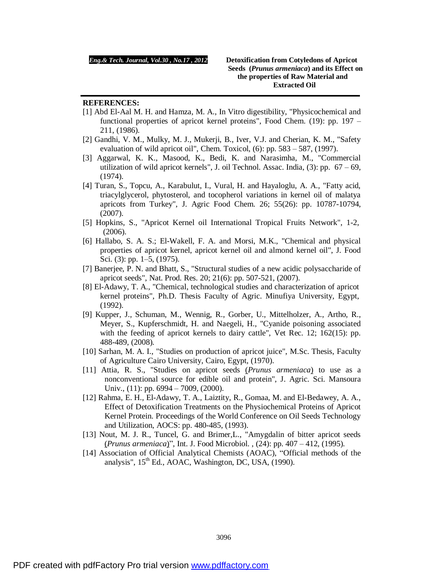#### **REFERENCES:**

- [1] Abd El-Aal M. H. and Hamza, M. A., In Vitro digestibility, "Physicochemical and functional properties of apricot kernel proteins", Food Chem. (19): pp. 197 – 211, (1986).
- [2] Gandhi, V. M., Mulky, M. J., Mukerji, B., Iver, V.J. and Cherian, K. M., "Safety evaluation of wild apricot oil", Chem. Toxicol, (6): pp. 583 – 587, (1997).
- [3] Aggarwal, K. K., Masood, K., Bedi, K. and Narasimha, M., "Commercial utilization of wild apricot kernels", J. oil Technol. Assac. India, (3): pp. 67 – 69, (1974).
- [4] Turan, S., Topcu, A., Karabulut, I., Vural, H. and Hayaloglu, A. A., "Fatty acid, triacylglycerol, phytosterol, and tocopherol variations in kernel oil of malatya apricots from Turkey", J. Agric Food Chem. 26; 55(26): pp. 10787-10794, (2007).
- [5] Hopkins, S., "Apricot Kernel oil International Tropical Fruits Network", 1-2, (2006).
- [6] Hallabo, S. A. S.; El-Wakell, F. A. and Morsi, M.K., "Chemical and physical properties of apricot kernel, apricot kernel oil and almond kernel oil", J. Food Sci. (3): pp. 1–5, (1975).
- [7] Banerjee, P. N. and Bhatt, S., "Structural studies of a new acidic polysaccharide of apricot seeds", Nat. Prod. Res. 20; 21(6): pp. 507-521, (2007).
- [8] El-Adawy, T. A., "Chemical, technological studies and characterization of apricot kernel proteins", Ph.D. Thesis Faculty of Agric. Minufiya University, Egypt, (1992).
- [9] Kupper, J., Schuman, M., Wennig, R., Gorber, U., Mittelholzer, A., Artho, R., Meyer, S., Kupferschmidt, H. and Naegeli, H., "Cyanide poisoning associated with the feeding of apricot kernels to dairy cattle", Vet Rec. 12; 162(15): pp. 488-489, (2008).
- [10] Sarhan, M. A. I., "Studies on production of apricot juice", M.Sc. Thesis, Faculty of Agriculture Cairo University, Cairo, Egypt, (1970).
- [11] Attia, R. S., "Studies on apricot seeds (*Prunus armeniaca*) to use as a nonconventional source for edible oil and protein", J. Agric. Sci. Mansoura Univ., (11): pp. 6994 – 7009, (2000).
- [12] Rahma, E. H., El-Adawy, T. A., Laiztity, R., Gomaa, M. and El-Bedawey, A. A., Effect of Detoxification Treatments on the Physiochemical Proteins of Apricot Kernel Protein. Proceedings of the World Conference on Oil Seeds Technology and Utilization, AOCS: pp. 480-485, (1993).
- [13] Nout, M. J. R., Tuncel, G. and Brimer, L., "Amygdalin of bitter apricot seeds (*Prunus armeniaca*)", Int. J. Food Microbiol. , (24): pp. 407 – 412, (1995).
- [14] Association of Official Analytical Chemists (AOAC), "Official methods of the analysis",  $15<sup>th</sup>$  Ed., AOAC, Washington, DC, USA, (1990).